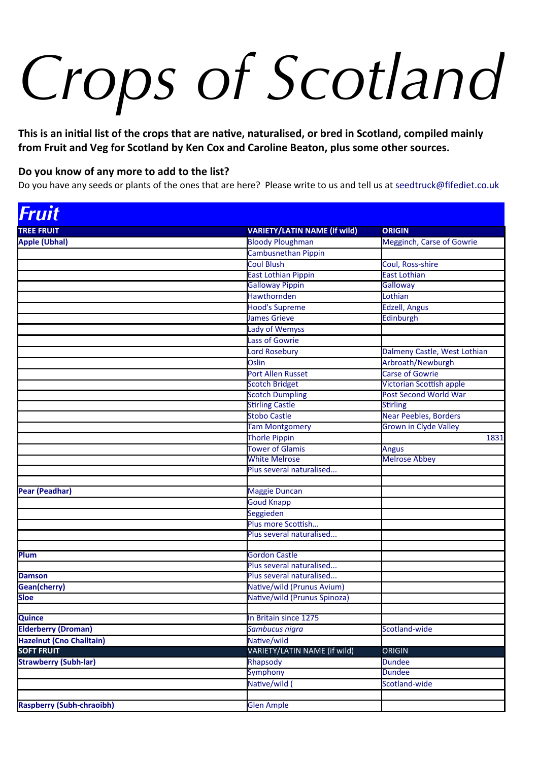# *Crops of Scotland*

**This is an inital list of the crops that are natve, naturalised, or bred in Scotland, compiled mainly from Fruit and Veg for Scotland by Ken Cox and Caroline Beaton, plus some other sources.**

#### **Do you know of any more to add to the list?**

Do you have any seeds or plants of the ones that are here? Please write to us and tell us at [seedtruck@fifediet.co.uk](mailto:seedtruck@fifediet.co.uk)

| Fruit                        |                                                  |                                 |
|------------------------------|--------------------------------------------------|---------------------------------|
| <b>TREE FRUIT</b>            | <b>VARIETY/LATIN NAME (if wild)</b>              | <b>ORIGIN</b>                   |
| Apple (Ubhal)                | <b>Bloody Ploughman</b>                          | Megginch, Carse of Gowrie       |
|                              | Cambusnethan Pippin                              |                                 |
|                              | <b>Coul Blush</b>                                | Coul, Ross-shire                |
|                              | <b>East Lothian Pippin</b>                       | <b>East Lothian</b>             |
|                              | <b>Galloway Pippin</b>                           | Galloway                        |
|                              | <b>Hawthornden</b>                               | Lothian                         |
|                              | <b>Hood's Supreme</b>                            | <b>Edzell, Angus</b>            |
|                              | <b>James Grieve</b>                              | Edinburgh                       |
|                              | <b>Lady of Wemyss</b>                            |                                 |
|                              | <b>Lass of Gowrie</b>                            |                                 |
|                              | <b>Lord Rosebury</b>                             | Dalmeny Castle, West Lothian    |
|                              | Oslin                                            | Arbroath/Newburgh               |
|                              | Port Allen Russet                                | <b>Carse of Gowrie</b>          |
|                              | <b>Scotch Bridget</b>                            | <b>Victorian Scottish apple</b> |
|                              | <b>Scotch Dumpling</b>                           | Post Second World War           |
|                              | <b>Stirling Castle</b>                           | <b>Stirling</b>                 |
|                              | <b>Stobo Castle</b>                              | <b>Near Peebles, Borders</b>    |
|                              | <b>Tam Montgomery</b>                            | <b>Grown in Clyde Valley</b>    |
|                              | Thorle Pippin                                    | 1831                            |
|                              | <b>Tower of Glamis</b>                           | <b>Angus</b>                    |
|                              | <b>White Melrose</b>                             | <b>Melrose Abbey</b>            |
|                              | Plus several naturalised                         |                                 |
|                              |                                                  |                                 |
| Pear (Peadhar)               | Maggie Duncan                                    |                                 |
|                              | <b>Goud Knapp</b>                                |                                 |
|                              | Seggieden                                        |                                 |
|                              | Plus more Scottish                               |                                 |
|                              | Plus several naturalised                         |                                 |
| Plum                         |                                                  |                                 |
|                              | <b>Gordon Castle</b><br>Plus several naturalised |                                 |
| <b>Damson</b>                | Plus several naturalised                         |                                 |
| Gean(cherry)                 | Native/wild (Prunus Avium)                       |                                 |
| <b>Sloe</b>                  | Native/wild (Prunus Spinoza)                     |                                 |
|                              |                                                  |                                 |
| <b>Quince</b>                | In Britain since 1275                            |                                 |
| <b>Elderberry (Droman)</b>   | Sambucus nigra                                   | Scotland-wide                   |
| Hazelnut (Cno Challtain)     | Native/wild                                      |                                 |
| <b>SOFT FRUIT</b>            | VARIETY/LATIN NAME (if wild)                     | <b>ORIGIN</b>                   |
| <b>Strawberry (Subh-lar)</b> | Rhapsody                                         | <b>Dundee</b>                   |
|                              | <b>Symphony</b>                                  | <b>Dundee</b>                   |
|                              | Native/wild                                      | Scotland-wide                   |
|                              |                                                  |                                 |
| Raspberry (Subh-chraoibh)    | <b>Glen Ample</b>                                |                                 |
|                              |                                                  |                                 |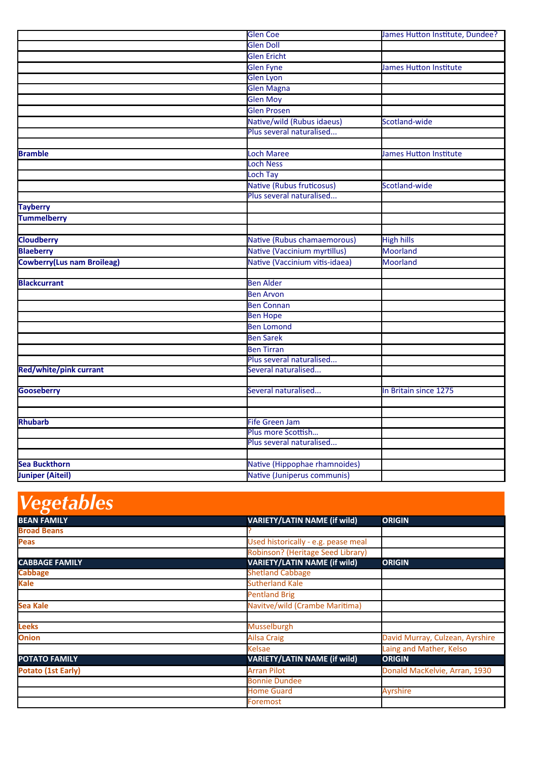|                                   | <b>Glen Coe</b>                | James Hutton Institute, Dundee? |
|-----------------------------------|--------------------------------|---------------------------------|
|                                   | <b>Glen Doll</b>               |                                 |
|                                   | <b>Glen Ericht</b>             |                                 |
|                                   | <b>Glen Fyne</b>               | James Hutton Institute          |
|                                   | Glen Lyon                      |                                 |
|                                   | <b>Glen Magna</b>              |                                 |
|                                   | <b>Glen Moy</b>                |                                 |
|                                   | <b>Glen Prosen</b>             |                                 |
|                                   | Native/wild (Rubus idaeus)     | Scotland-wide                   |
|                                   | Plus several naturalised       |                                 |
|                                   |                                |                                 |
| <b>Bramble</b>                    | <b>Loch Maree</b>              | <b>James Hutton Institute</b>   |
|                                   | <b>Loch Ness</b>               |                                 |
|                                   | <b>Loch Tay</b>                |                                 |
|                                   | Native (Rubus fruticosus)      | Scotland-wide                   |
|                                   | Plus several naturalised       |                                 |
| <b>Tayberry</b>                   |                                |                                 |
| <b>Tummelberry</b>                |                                |                                 |
|                                   |                                |                                 |
| <b>Cloudberry</b>                 | Native (Rubus chamaemorous)    | <b>High hills</b>               |
| <b>Blaeberry</b>                  | Native (Vaccinium myrtillus)   | <b>Moorland</b>                 |
| <b>Cowberry(Lus nam Broileag)</b> | Native (Vaccinium vitis-idaea) | <b>Moorland</b>                 |
|                                   |                                |                                 |
| <b>Blackcurrant</b>               | <b>Ben Alder</b>               |                                 |
|                                   | <b>Ben Arvon</b>               |                                 |
|                                   | <b>Ben Connan</b>              |                                 |
|                                   | <b>Ben Hope</b>                |                                 |
|                                   | <b>Ben Lomond</b>              |                                 |
|                                   | <b>Ben Sarek</b>               |                                 |
|                                   | <b>Ben Tirran</b>              |                                 |
|                                   | Plus several naturalised       |                                 |
| Red/white/pink currant            | Several naturalised            |                                 |
|                                   |                                |                                 |
| <b>Gooseberry</b>                 | Several naturalised            | In Britain since 1275           |
|                                   |                                |                                 |
|                                   |                                |                                 |
| <b>Rhubarb</b>                    | <b>Fife Green Jam</b>          |                                 |
|                                   | Plus more Scottish             |                                 |
|                                   | Plus several naturalised       |                                 |
|                                   |                                |                                 |
| <b>Sea Buckthorn</b>              | Native (Hippophae rhamnoides)  |                                 |
| <b>Juniper (Aiteil)</b>           | Native (Juniperus communis)    |                                 |

### *Vegetables*

| <b>BEAN FAMILY</b>    | <b>VARIETY/LATIN NAME (if wild)</b> | <b>ORIGIN</b>                   |
|-----------------------|-------------------------------------|---------------------------------|
| <b>Broad Beans</b>    |                                     |                                 |
| <b>Peas</b>           | Used historically - e.g. pease meal |                                 |
|                       | Robinson? (Heritage Seed Library)   |                                 |
| <b>CABBAGE FAMILY</b> | <b>VARIETY/LATIN NAME (if wild)</b> | <b>ORIGIN</b>                   |
| <b>Cabbage</b>        | <b>Shetland Cabbage</b>             |                                 |
| <b>Kale</b>           | <b>Sutherland Kale</b>              |                                 |
|                       | <b>Pentland Brig</b>                |                                 |
| <b>Sea Kale</b>       | Navitve/wild (Crambe Maritima)      |                                 |
|                       |                                     |                                 |
| <b>Leeks</b>          | <b>Musselburgh</b>                  |                                 |
| <b>Onion</b>          | <b>Ailsa Craig</b>                  | David Murray, Culzean, Ayrshire |
|                       | <b>Kelsae</b>                       | Laing and Mather, Kelso         |
| <b>POTATO FAMILY</b>  | <b>VARIETY/LATIN NAME (if wild)</b> | <b>ORIGIN</b>                   |
| Potato (1st Early)    | <b>Arran Pilot</b>                  | Donald MacKelvie, Arran, 1930   |
|                       | <b>Bonnie Dundee</b>                |                                 |
|                       | <b>Home Guard</b>                   | <b>Ayrshire</b>                 |
|                       | Foremost                            |                                 |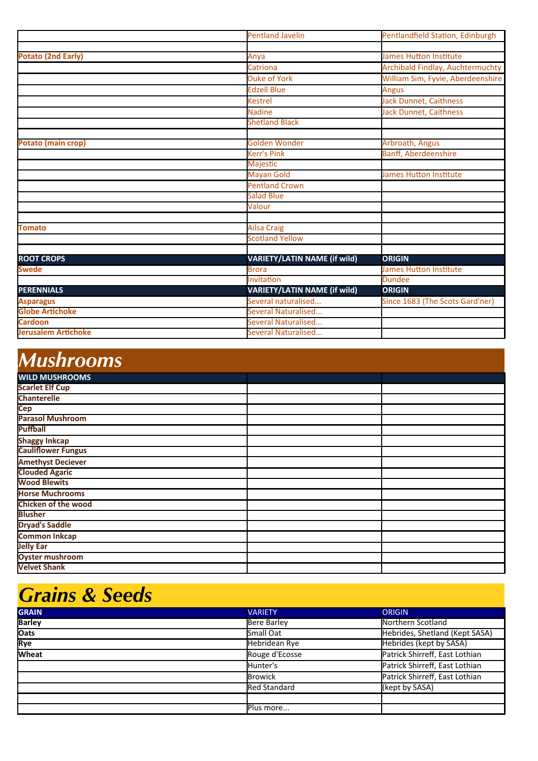|                            | <b>Pentland Javelin</b>             | Pentlandfield Station, Edinburgh  |
|----------------------------|-------------------------------------|-----------------------------------|
|                            |                                     |                                   |
| <b>Potato (2nd Early)</b>  | Anya                                | <b>James Hutton Institute</b>     |
|                            | Catriona                            | Archibald Findlay, Auchtermuchty  |
|                            | <b>Duke of York</b>                 | William Sim, Fyvie, Aberdeenshire |
|                            | <b>Edzell Blue</b>                  | <b>Angus</b>                      |
|                            | <b>Kestrel</b>                      | Jack Dunnet, Caithness            |
|                            | <b>Nadine</b>                       | Jack Dunnet, Caithness            |
|                            | <b>Shetland Black</b>               |                                   |
|                            |                                     |                                   |
| Potato (main crop)         | <b>Golden Wonder</b>                | Arbroath, Angus                   |
|                            | <b>Kerr's Pink</b>                  | <b>Banff, Aberdeenshire</b>       |
|                            | <b>Majestic</b>                     |                                   |
|                            | <b>Mayan Gold</b>                   | James Hutton Institute            |
|                            | <b>Pentland Crown</b>               |                                   |
|                            | <b>Salad Blue</b>                   |                                   |
|                            | Valour                              |                                   |
|                            |                                     |                                   |
| <b>Tomato</b>              | <b>Ailsa Craig</b>                  |                                   |
|                            | <b>Scotland Yellow</b>              |                                   |
|                            |                                     |                                   |
| <b>ROOT CROPS</b>          | VARIETY/LATIN NAME (if wild)        | <b>ORIGIN</b>                     |
| <b>Swede</b>               | <b>Brora</b>                        | <b>James Hutton Institute</b>     |
|                            | Invitation                          | <b>Dundee</b>                     |
| <b>PERENNIALS</b>          | <b>VARIETY/LATIN NAME (if wild)</b> | <b>ORIGIN</b>                     |
| <b>Asparagus</b>           | Several naturalised                 | Since 1683 (The Scots Gard'ner)   |
| <b>Globe Artichoke</b>     | Several Naturalised                 |                                   |
| <b>Cardoon</b>             | Several Naturalised                 |                                   |
| <b>Jerusalem Artichoke</b> | Several Naturalised                 |                                   |

## *Mushrooms*

| . <del>.</del>             |  |  |
|----------------------------|--|--|
| <b>WILD MUSHROOMS</b>      |  |  |
| <b>Scarlet Elf Cup</b>     |  |  |
| <b>Chanterelle</b>         |  |  |
| <b>Cep</b>                 |  |  |
| <b>Parasol Mushroom</b>    |  |  |
| <b>Puffball</b>            |  |  |
| <b>Shaggy Inkcap</b>       |  |  |
| <b>Cauliflower Fungus</b>  |  |  |
| <b>Amethyst Deciever</b>   |  |  |
| <b>Clouded Agaric</b>      |  |  |
| <b>Wood Blewits</b>        |  |  |
| <b>Horse Muchrooms</b>     |  |  |
| <b>Chicken of the wood</b> |  |  |
| <b>Blusher</b>             |  |  |
| <b>Dryad's Saddle</b>      |  |  |
| <b>Common Inkcap</b>       |  |  |
| <b>Jelly Ear</b>           |  |  |
| <b>Oyster mushroom</b>     |  |  |
| <b>Velvet Shank</b>        |  |  |

#### *Grains & Seeds*

| <b>GRAIN</b>  | <b>VARIETY</b>      | <b>ORIGIN</b>                  |
|---------------|---------------------|--------------------------------|
| <b>Barley</b> | Bere Barley         | Northern Scotland              |
| <b>Oats</b>   | Small Oat           | Hebrides, Shetland (Kept SASA) |
| Rye           | Hebridean Rye       | <b>Hebrides (kept by SASA)</b> |
| <b>Wheat</b>  | Rouge d'Ecosse      | Patrick Shirreff, East Lothian |
|               | Hunter's            | Patrick Shirreff, East Lothian |
|               | <b>Browick</b>      | Patrick Shirreff, East Lothian |
|               | <b>Red Standard</b> | (kept by SASA)                 |
|               |                     |                                |
|               | Plus more           |                                |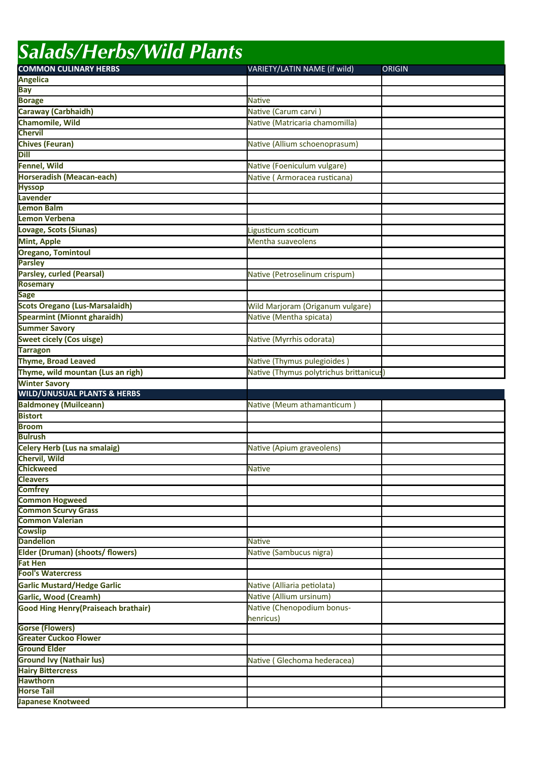| <b>Salads/Herbs/Wild Plants</b>                             |                                        |               |  |
|-------------------------------------------------------------|----------------------------------------|---------------|--|
| <b>COMMON CULINARY HERBS</b>                                | VARIETY/LATIN NAME (if wild)           | <b>ORIGIN</b> |  |
| <b>Angelica</b>                                             |                                        |               |  |
| <b>Bay</b>                                                  |                                        |               |  |
| <b>Borage</b>                                               | <b>Native</b>                          |               |  |
| Caraway (Carbhaidh)                                         | Native (Carum carvi)                   |               |  |
| Chamomile, Wild                                             | Native (Matricaria chamomilla)         |               |  |
| <b>Chervil</b>                                              |                                        |               |  |
| Chives (Feuran)                                             | Native (Allium schoenoprasum)          |               |  |
| <b>Dill</b>                                                 |                                        |               |  |
| Fennel, Wild                                                | Native (Foeniculum vulgare)            |               |  |
| Horseradish (Meacan-each)                                   | Native (Armoracea rusticana)           |               |  |
| <b>Hyssop</b>                                               |                                        |               |  |
| Lavender<br><b>Lemon Balm</b>                               |                                        |               |  |
| Lemon Verbena                                               |                                        |               |  |
|                                                             |                                        |               |  |
| Lovage, Scots (Siunas)                                      | Ligusticum scoticum                    |               |  |
| Mint, Apple                                                 | Mentha suaveolens                      |               |  |
| Oregano, Tomintoul<br><b>Parsley</b>                        |                                        |               |  |
| Parsley, curled (Pearsal)                                   |                                        |               |  |
| <b>Rosemary</b>                                             | Native (Petroselinum crispum)          |               |  |
| <b>Sage</b>                                                 |                                        |               |  |
| <b>Scots Oregano (Lus-Marsalaidh)</b>                       | Wild Marjoram (Origanum vulgare)       |               |  |
| Spearmint (Mionnt gharaidh)                                 | Native (Mentha spicata)                |               |  |
| <b>Summer Savory</b>                                        |                                        |               |  |
| <b>Sweet cicely (Cos uisge)</b>                             | Native (Myrrhis odorata)               |               |  |
| <b>Tarragon</b>                                             |                                        |               |  |
| Thyme, Broad Leaved                                         | Native (Thymus pulegioides)            |               |  |
| Thyme, wild mountan (Lus an righ)                           | Native (Thymus polytrichus brittanicus |               |  |
|                                                             |                                        |               |  |
|                                                             |                                        |               |  |
| <b>Winter Savory</b>                                        |                                        |               |  |
| <b>WILD/UNUSUAL PLANTS &amp; HERBS</b>                      |                                        |               |  |
| <b>Baldmoney (Muilceann)</b>                                | Native (Meum athamanticum)             |               |  |
| <b>Bistort</b><br><b>Broom</b>                              |                                        |               |  |
| lBulrush                                                    |                                        |               |  |
|                                                             |                                        |               |  |
| Celery Herb (Lus na smalaig)<br><b>Chervil, Wild</b>        | Native (Apium graveolens)              |               |  |
| <b>Chickweed</b>                                            | <b>Native</b>                          |               |  |
| <b>Cleavers</b>                                             |                                        |               |  |
| <b>Comfrey</b>                                              |                                        |               |  |
| <b>Common Hogweed</b>                                       |                                        |               |  |
| <b>Common Scurvy Grass</b>                                  |                                        |               |  |
| <b>Common Valerian</b>                                      |                                        |               |  |
| <b>Cowslip</b>                                              |                                        |               |  |
| <b>Dandelion</b>                                            | <b>Native</b>                          |               |  |
| Elder (Druman) (shoots/ flowers)                            | Native (Sambucus nigra)                |               |  |
| <b>Fat Hen</b>                                              |                                        |               |  |
| <b>Fool's Watercress</b>                                    |                                        |               |  |
| <b>Garlic Mustard/Hedge Garlic</b>                          | Native (Alliaria petiolata)            |               |  |
| Garlic, Wood (Creamh)                                       | Native (Allium ursinum)                |               |  |
| Good Hing Henry (Praiseach brathair)                        | Native (Chenopodium bonus-             |               |  |
|                                                             | henricus)                              |               |  |
| <b>Gorse (Flowers)</b>                                      |                                        |               |  |
| <b>Greater Cuckoo Flower</b><br><b>Ground Elder</b>         |                                        |               |  |
|                                                             |                                        |               |  |
| <b>Ground Ivy (Nathair lus)</b><br><b>Hairy Bittercress</b> | Native (Glechoma hederacea)            |               |  |
| <b>Hawthorn</b>                                             |                                        |               |  |
| <b>Horse Tail</b>                                           |                                        |               |  |